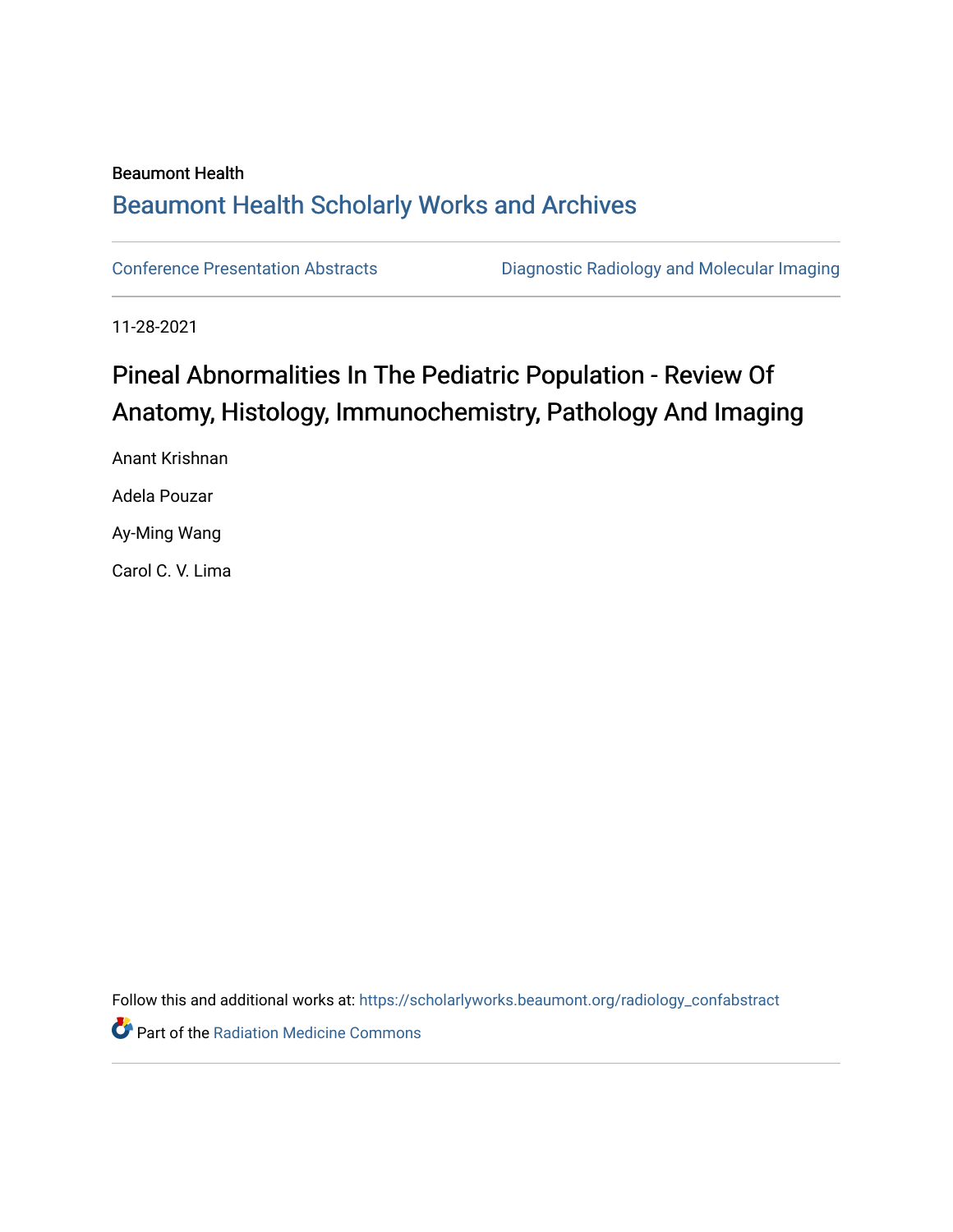### Beaumont Health [Beaumont Health Scholarly Works and Archives](https://scholarlyworks.beaumont.org/)

[Conference Presentation Abstracts](https://scholarlyworks.beaumont.org/radiology_confabstract) [Diagnostic Radiology and Molecular Imaging](https://scholarlyworks.beaumont.org/radiology) 

11-28-2021

# Pineal Abnormalities In The Pediatric Population - Review Of Anatomy, Histology, Immunochemistry, Pathology And Imaging

Anant Krishnan Adela Pouzar Ay-Ming Wang Carol C. V. Lima

Follow this and additional works at: [https://scholarlyworks.beaumont.org/radiology\\_confabstract](https://scholarlyworks.beaumont.org/radiology_confabstract?utm_source=scholarlyworks.beaumont.org%2Fradiology_confabstract%2F47&utm_medium=PDF&utm_campaign=PDFCoverPages)

Part of the [Radiation Medicine Commons](http://network.bepress.com/hgg/discipline/1416?utm_source=scholarlyworks.beaumont.org%2Fradiology_confabstract%2F47&utm_medium=PDF&utm_campaign=PDFCoverPages)